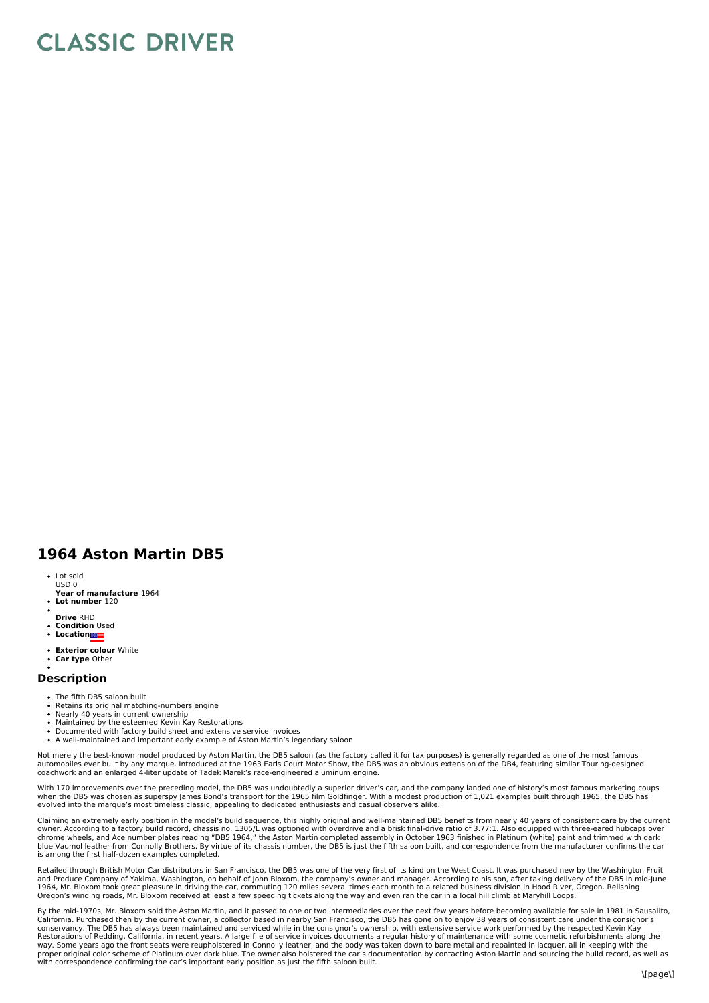## **CLASSIC DRIVER**

## **1964 Aston Martin DB5**

- Lot sold USD 0
- **Year of manufacture** 1964
- **Lot number** 120
- **Drive** RHD
- **Condition** Used **Location**
- 
- **Exterior colour** White
- **Car type** Other

## **Description**

- The fifth DB5 saloon built
- Retains its original matching-numbers engine
- Nearly 40 years in current ownership<br>Maintained by the esteemed Kevin Kay Restorations
- 
- Documented with factory build sheet and extensive service invoices<br>A well-maintained and important early example of Aston Martin's legendary saloon

Not merely the best-known model produced by Aston Martin, the DB5 saloon (as the factory called it for tax purposes) is generally regarded as one of the most famous<br>automobiles ever built by any marque. Introduced at the 1 coachwork and an enlarged 4-liter update of Tadek Marek's race-engineered aluminum engine.

With 170 improvements over the preceding model, the DB5 was undoubtedly a superior driver's car, and the company landed one of history's most famous marketing coups<br>when the DB5 was chosen as superspy James Bond's transpor

Claiming an extremely early position in the model's build sequence, this highly original and well-maintained DB5 benefits from nearly 40 years of consistent care by the current<br>owner. According to a factory build record, c is among the first half-dozen examples completed.

Retailed through British Motor Car distributors in San Francisco, the DB5 was one of the very first of its kind on the West Coast. It was purchased new by the Washington Fruit and Produce Company of Yakima, Washington, on behalf of John Bloxom, the company's owner and manager. According to his son, after taking delivery of the DB5 in mid-June<br>1964, Mr. Bloxom took great pleasure in driving the c Oregon's winding roads, Mr. Bloxom received at least a few speeding tickets along the way and even ran the car in a local hill climb at Maryhill Loops.

By the mid-1970s, Mr. Bloxom sold the Aston Martin, and it passed to one or two intermediaries over the next few years before becoming available for sale in 1981 in Sausalito, California. Purchased then by the current owner, a collector based in nearby San Francisco, the DB5 has gone on to enjoy 38 years of consistent care under the consignor's conservancy. The DB5 has always been maintained and serviced while in the consignor's ownership, with extensive service work performed by the respected Kevin Kay<br>Restorations of Redding, California, in recent years. A larg